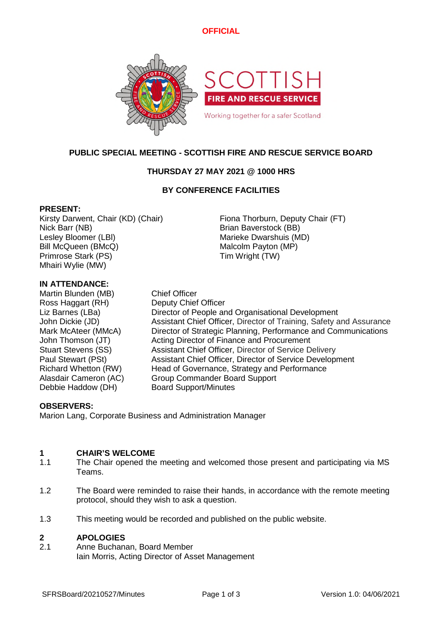# **OFFICIAL**



# **PUBLIC SPECIAL MEETING - SCOTTISH FIRE AND RESCUE SERVICE BOARD**

# **THURSDAY 27 MAY 2021 @ 1000 HRS**

## **BY CONFERENCE FACILITIES**

### **PRESENT:**

Nick Barr (NB) Brian Baverstock (BB) Lesley Bloomer (LBI) Marieke Dwarshuis (MD) Bill McQueen (BMcQ) Malcolm Payton (MP) Primrose Stark (PS) Tim Wright (TW) Mhairi Wylie (MW)

Kirsty Darwent, Chair (KD) (Chair) Fiona Thorburn, Deputy Chair (FT)

### **IN ATTENDANCE:**

Martin Blunden (MB) Chief Officer Ross Haggart (RH) Deputy Chief Officer Debbie Haddow (DH) Board Support/Minutes

Liz Barnes (LBa) Director of People and Organisational Development John Dickie (JD) Assistant Chief Officer, Director of Training, Safety and Assurance Mark McAteer (MMcA) Director of Strategic Planning, Performance and Communications John Thomson (JT) Acting Director of Finance and Procurement Stuart Stevens (SS) Assistant Chief Officer, Director of Service Delivery Paul Stewart (PSt) Assistant Chief Officer, Director of Service Development<br>Richard Whetton (RW) Head of Governance, Strategy and Performance Head of Governance, Strategy and Performance Alasdair Cameron (AC) Group Commander Board Support

### **OBSERVERS:**

Marion Lang, Corporate Business and Administration Manager

#### **1 CHAIR'S WELCOME**

- 1.1 The Chair opened the meeting and welcomed those present and participating via MS Teams.
- 1.2 The Board were reminded to raise their hands, in accordance with the remote meeting protocol, should they wish to ask a question.
- 1.3 This meeting would be recorded and published on the public website.

#### **2 APOLOGIES**

2.1 Anne Buchanan, Board Member Iain Morris, Acting Director of Asset Management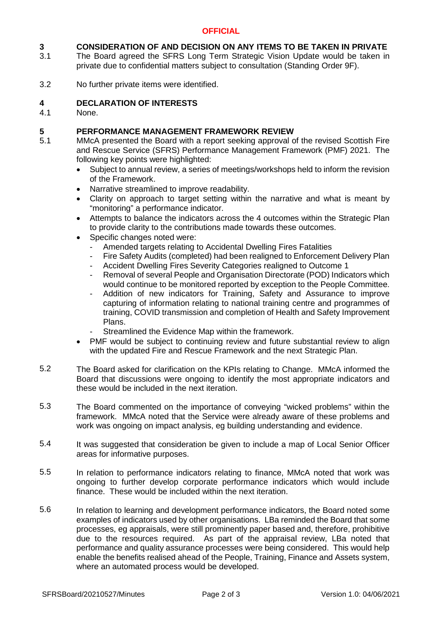## **OFFICIAL**

### **3 CONSIDERATION OF AND DECISION ON ANY ITEMS TO BE TAKEN IN PRIVATE**

- 3.1 The Board agreed the SFRS Long Term Strategic Vision Update would be taken in private due to confidential matters subject to consultation (Standing Order 9F).
- 3.2 No further private items were identified.

#### **4 DECLARATION OF INTERESTS**

4.1 None.

#### **5 PERFORMANCE MANAGEMENT FRAMEWORK REVIEW**

- 5.1 MMcA presented the Board with a report seeking approval of the revised Scottish Fire and Rescue Service (SFRS) Performance Management Framework (PMF) 2021. The following key points were highlighted:
	- Subject to annual review, a series of meetings/workshops held to inform the revision of the Framework.
	- Narrative streamlined to improve readability.
	- Clarity on approach to target setting within the narrative and what is meant by "monitoring" a performance indicator.
	- Attempts to balance the indicators across the 4 outcomes within the Strategic Plan to provide clarity to the contributions made towards these outcomes.
	- Specific changes noted were:
		- Amended targets relating to Accidental Dwelling Fires Fatalities
		- Fire Safety Audits (completed) had been realigned to Enforcement Delivery Plan
		- Accident Dwelling Fires Severity Categories realigned to Outcome 1
		- Removal of several People and Organisation Directorate (POD) Indicators which would continue to be monitored reported by exception to the People Committee.
		- Addition of new indicators for Training, Safety and Assurance to improve capturing of information relating to national training centre and programmes of training, COVID transmission and completion of Health and Safety Improvement Plans.
		- Streamlined the Evidence Map within the framework.
	- PMF would be subject to continuing review and future substantial review to align with the updated Fire and Rescue Framework and the next Strategic Plan.
- 5.2 The Board asked for clarification on the KPIs relating to Change. MMcA informed the Board that discussions were ongoing to identify the most appropriate indicators and these would be included in the next iteration.
- 5.3 The Board commented on the importance of conveying "wicked problems" within the framework. MMcA noted that the Service were already aware of these problems and work was ongoing on impact analysis, eg building understanding and evidence.
- 5.4 It was suggested that consideration be given to include a map of Local Senior Officer areas for informative purposes.
- 5.5 In relation to performance indicators relating to finance, MMcA noted that work was ongoing to further develop corporate performance indicators which would include finance. These would be included within the next iteration.
- 5.6 In relation to learning and development performance indicators, the Board noted some examples of indicators used by other organisations. LBa reminded the Board that some processes, eg appraisals, were still prominently paper based and, therefore, prohibitive due to the resources required. As part of the appraisal review, LBa noted that performance and quality assurance processes were being considered. This would help enable the benefits realised ahead of the People, Training, Finance and Assets system, where an automated process would be developed.